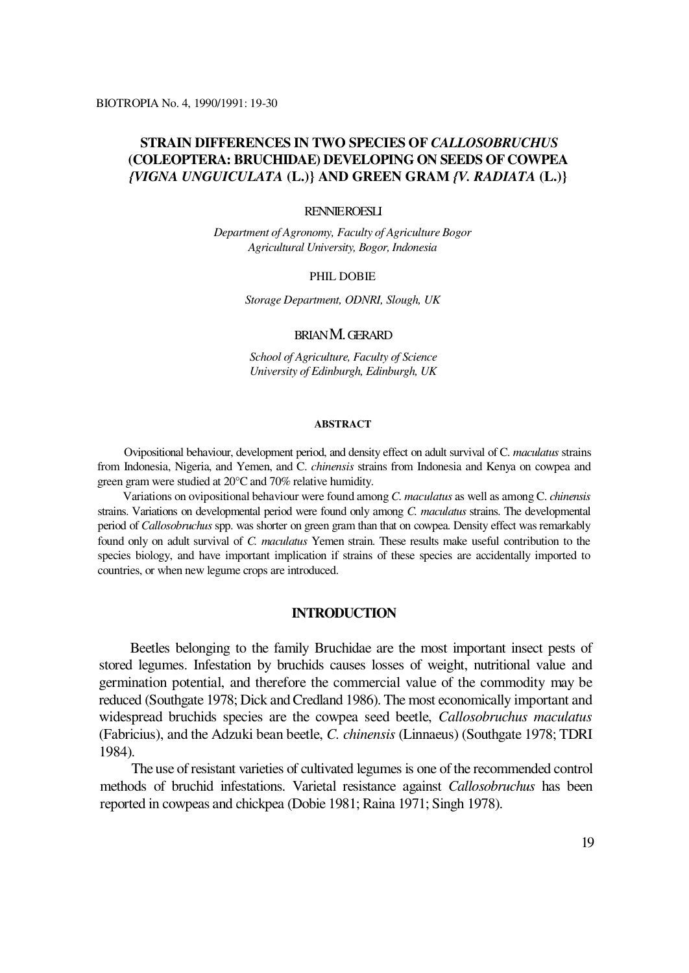# **STRAIN DIFFERENCES IN TWO SPECIES OF** *CALLOSOBRUCHUS*  **(COLEOPTERA: BRUCHIDAE) DEVELOPING ON SEEDS OF COWPEA** *{VIGNA UNGUICULATA* **(L.)} AND GREEN GRAM** *{V. RADIATA* **(L.)}**

# RENNIE ROESLI

*Department of Agronomy, Faculty of Agriculture Bogor Agricultural University, Bogor, Indonesia*

### PHIL DOBIE

*Storage Department, ODNRI, Slough, UK*

# BRIAN M. GERARD

*School of Agriculture, Faculty of Science University of Edinburgh, Edinburgh, UK*

#### **ABSTRACT**

Ovipositional behaviour, development period, and density effect on adult survival of C. *maculatus* strains from Indonesia, Nigeria, and Yemen, and C. *chinensis* strains from Indonesia and Kenya on cowpea and green gram were studied at 20°C and 70% relative humidity.

Variations on ovipositional behaviour were found among *C. maculatus* as well as among C. *chinensis*  strains. Variations on developmental period were found only among *C. maculatus* strains. The developmental period of *Callosobruchus* spp. was shorter on green gram than that on cowpea. Density effect was remarkably found only on adult survival of *C. maculatus* Yemen strain. These results make useful contribution to the species biology, and have important implication if strains of these species are accidentally imported to countries, or when new legume crops are introduced.

## **INTRODUCTION**

Beetles belonging to the family Bruchidae are the most important insect pests of stored legumes. Infestation by bruchids causes losses of weight, nutritional value and germination potential, and therefore the commercial value of the commodity may be reduced (Southgate 1978; Dick and Credland 1986). The most economically important and widespread bruchids species are the cowpea seed beetle, *Callosobruchus maculatus*  (Fabricius), and the Adzuki bean beetle, *C. chinensis* (Linnaeus) (Southgate 1978; TDRI 1984).

The use of resistant varieties of cultivated legumes is one of the recommended control methods of bruchid infestations. Varietal resistance against *Callosobruchus* has been reported in cowpeas and chickpea (Dobie 1981; Raina 1971; Singh 1978).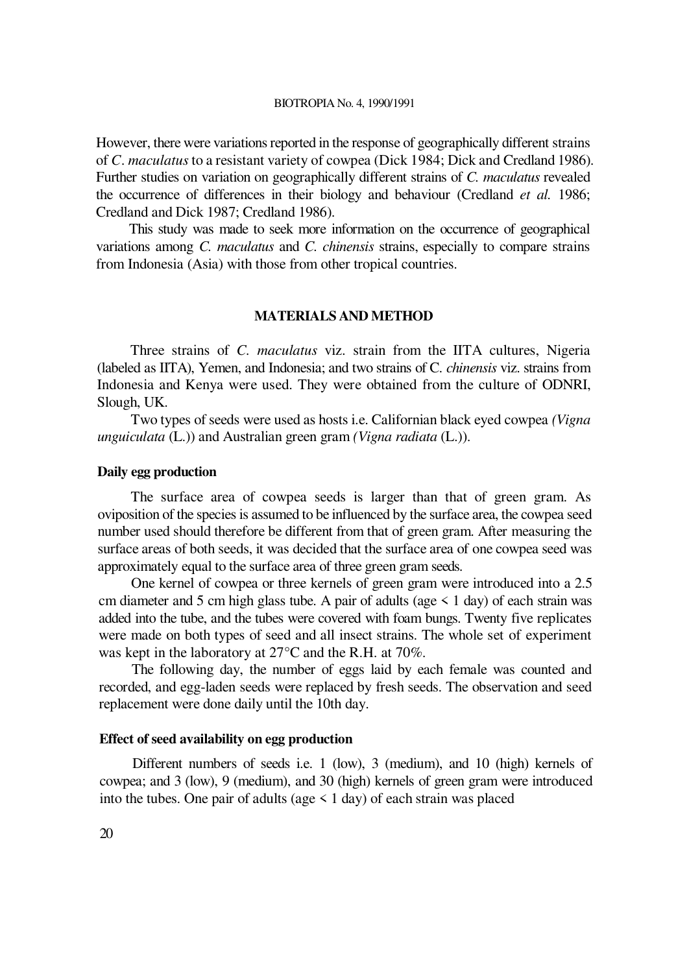#### BIOTROPIA No. 4, 1990/1991

However, there were variations reported in the response of geographically different strains of *C*. *maculatus* to a resistant variety of cowpea (Dick 1984; Dick and Credland 1986). Further studies on variation on geographically different strains of *C. maculatus* revealed the occurrence of differences in their biology and behaviour (Credland *et al.* 1986; Credland and Dick 1987; Credland 1986).

This study was made to seek more information on the occurrence of geographical variations among *C. maculatus* and *C. chinensis* strains, especially to compare strains from Indonesia (Asia) with those from other tropical countries.

# **MATERIALS AND METHOD**

Three strains of *C. maculatus* viz. strain from the IITA cultures, Nigeria (labeled as IITA), Yemen, and Indonesia; and two strains of C. *chinensis* viz. strains from Indonesia and Kenya were used. They were obtained from the culture of ODNRI, Slough, UK.

Two types of seeds were used as hosts i.e. Californian black eyed cowpea *(Vigna unguiculata* (L.)) and Australian green gram *(Vigna radiata* (L.)).

# **Daily egg production**

The surface area of cowpea seeds is larger than that of green gram. As oviposition of the species is assumed to be influenced by the surface area, the cowpea seed number used should therefore be different from that of green gram. After measuring the surface areas of both seeds, it was decided that the surface area of one cowpea seed was approximately equal to the surface area of three green gram seeds.

One kernel of cowpea or three kernels of green gram were introduced into a 2.5 cm diameter and 5 cm high glass tube. A pair of adults (age  $\leq 1$  day) of each strain was added into the tube, and the tubes were covered with foam bungs. Twenty five replicates were made on both types of seed and all insect strains. The whole set of experiment was kept in the laboratory at 27°C and the R.H. at 70%.

The following day, the number of eggs laid by each female was counted and recorded, and egg-laden seeds were replaced by fresh seeds. The observation and seed replacement were done daily until the 10th day.

# **Effect of seed availability on egg production**

Different numbers of seeds i.e. 1 (low), 3 (medium), and 10 (high) kernels of cowpea; and 3 (low), 9 (medium), and 30 (high) kernels of green gram were introduced into the tubes. One pair of adults (age  $\leq 1$  day) of each strain was placed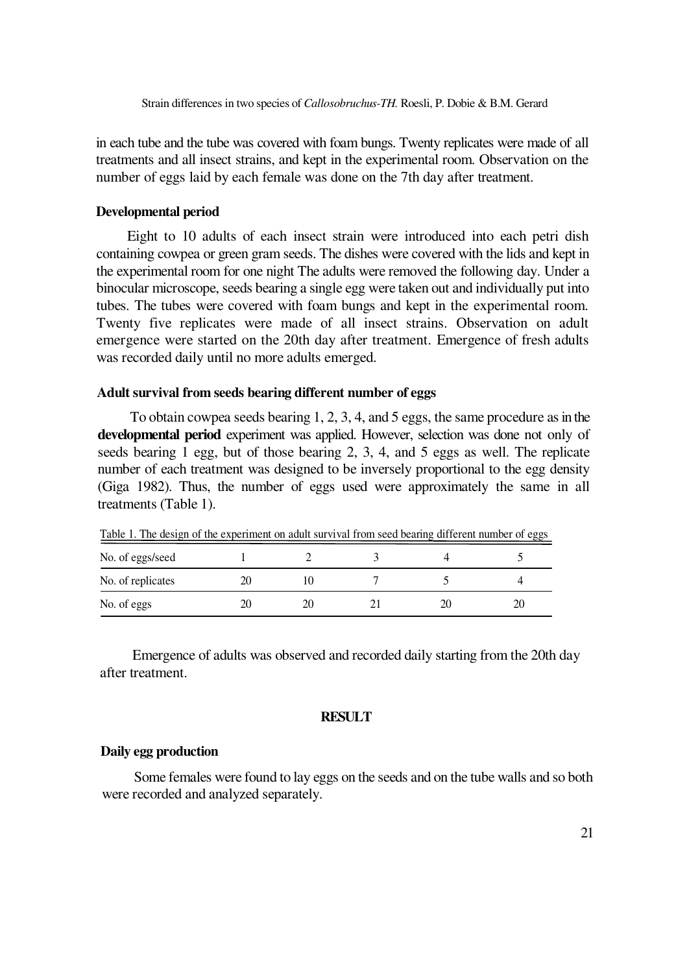in each tube and the tube was covered with foam bungs. Twenty replicates were made of all treatments and all insect strains, and kept in the experimental room. Observation on the number of eggs laid by each female was done on the 7th day after treatment.

# **Developmental period**

Eight to 10 adults of each insect strain were introduced into each petri dish containing cowpea or green gram seeds. The dishes were covered with the lids and kept in the experimental room for one night The adults were removed the following day. Under a binocular microscope, seeds bearing a single egg were taken out and individually put into tubes. The tubes were covered with foam bungs and kept in the experimental room. Twenty five replicates were made of all insect strains. Observation on adult emergence were started on the 20th day after treatment. Emergence of fresh adults was recorded daily until no more adults emerged.

### **Adult survival from seeds bearing different number of eggs**

To obtain cowpea seeds bearing 1, 2, 3, 4, and 5 eggs, the same procedure as in the **developmental period** experiment was applied. However, selection was done not only of seeds bearing 1 egg, but of those bearing 2, 3, 4, and 5 eggs as well. The replicate number of each treatment was designed to be inversely proportional to the egg density (Giga 1982). Thus, the number of eggs used were approximately the same in all treatments (Table 1).

| Table 1. The design of the experiment on addit survival from seed bearing urreferm number of eggs |    |  |  |  |  |
|---------------------------------------------------------------------------------------------------|----|--|--|--|--|
| No. of eggs/seed                                                                                  |    |  |  |  |  |
| No. of replicates                                                                                 | 2O |  |  |  |  |
| No. of eggs                                                                                       | 2O |  |  |  |  |

Table 1. The design of the experiment on adult survival from seed bearing different number of eggs

Emergence of adults was observed and recorded daily starting from the 20th day after treatment.

# **RESULT**

# **Daily egg production**

Some females were found to lay eggs on the seeds and on the tube walls and so both were recorded and analyzed separately.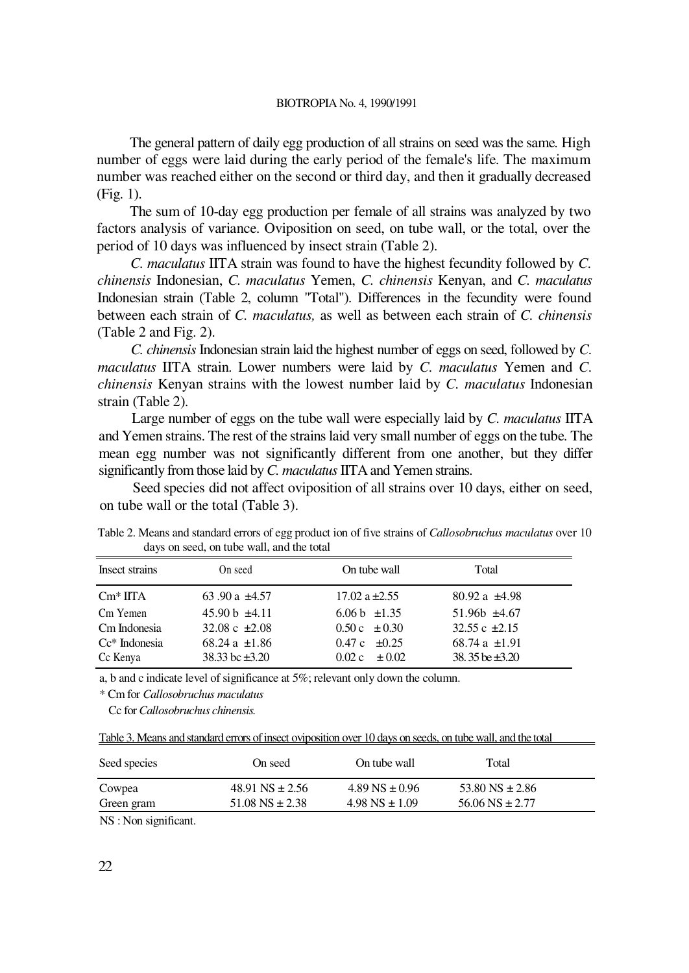The general pattern of daily egg production of all strains on seed was the same. High number of eggs were laid during the early period of the female's life. The maximum number was reached either on the second or third day, and then it gradually decreased (Fig. 1).

The sum of 10-day egg production per female of all strains was analyzed by two factors analysis of variance. Oviposition on seed, on tube wall, or the total, over the period of 10 days was influenced by insect strain (Table 2).

*C. maculatus* IITA strain was found to have the highest fecundity followed by *C. chinensis* Indonesian, *C. maculatus* Yemen, *C. chinensis* Kenyan, and *C. maculatus*  Indonesian strain (Table 2, column "Total"). Differences in the fecundity were found between each strain of *C. maculatus,* as well as between each strain of *C. chinensis*  (Table 2 and Fig. 2).

*C. chinensis* Indonesian strain laid the highest number of eggs on seed, followed by *C. maculatus* IITA strain. Lower numbers were laid by *C. maculatus* Yemen and *C. chinensis* Kenyan strains with the lowest number laid by *C. maculatus* Indonesian strain (Table 2).

Large number of eggs on the tube wall were especially laid by *C. maculatus* IITA and Yemen strains. The rest of the strains laid very small number of eggs on the tube. The mean egg number was not significantly different from one another, but they differ significantly from those laid by *C. maculatus* IITA and Yemen strains.

Seed species did not affect oviposition of all strains over 10 days, either on seed, on tube wall or the total (Table 3).

| Insect strains       | On seed             | On tube wall              | Total               |  |
|----------------------|---------------------|---------------------------|---------------------|--|
| $\mathrm{Cm}^*$ IITA | 63.90 a $\pm 4.57$  | 17.02 a $\pm 2.55$        | 80.92 a $\pm 4.98$  |  |
| Cm Yemen             | 45.90 b $\pm 4.11$  | 6.06 b $\pm 1.35$         | $51.96b$ $\pm 4.67$ |  |
| Cm Indonesia         | 32.08 c $\pm 2.08$  | $0.50c \pm 0.30$          | 32.55 c $\pm 2.15$  |  |
| $Ce^*$ Indonesia     | 68.24 a $\pm 1.86$  | $0.47c + 0.25$            | 68.74 a $\pm 1.91$  |  |
| Cc Kenya             | 38.33 bc $\pm 3.20$ | $0.02 \text{ c} \pm 0.02$ | 38.35 be $\pm 3.20$ |  |

Table 2. Means and standard errors of egg product ion of five strains of *Callosobruchus maculatus* over 10 days on seed, on tube wall, and the total

a, b and c indicate level of significance at 5%; relevant only down the column.

\* Cm for *Callosobruchus maculatus* 

Cc for *Callosobruchus chinensis.*

| Table 3. Means and standard errors of insect oviposition over 10 days on seeds, on tube wall, and the total |  |  |
|-------------------------------------------------------------------------------------------------------------|--|--|
|                                                                                                             |  |  |

| Seed species | On seed               | On tube wall         | Total                 |
|--------------|-----------------------|----------------------|-----------------------|
| Cowpea       | 48.91 NS $\pm 2.56$   | $4.89$ NS $\pm 0.96$ | 53.80 NS $\pm$ 2.86   |
| Green gram   | $51.08$ NS $\pm 2.38$ | $4.98$ NS $\pm 1.09$ | $56.06$ NS $\pm 2.77$ |

NS : Non significant.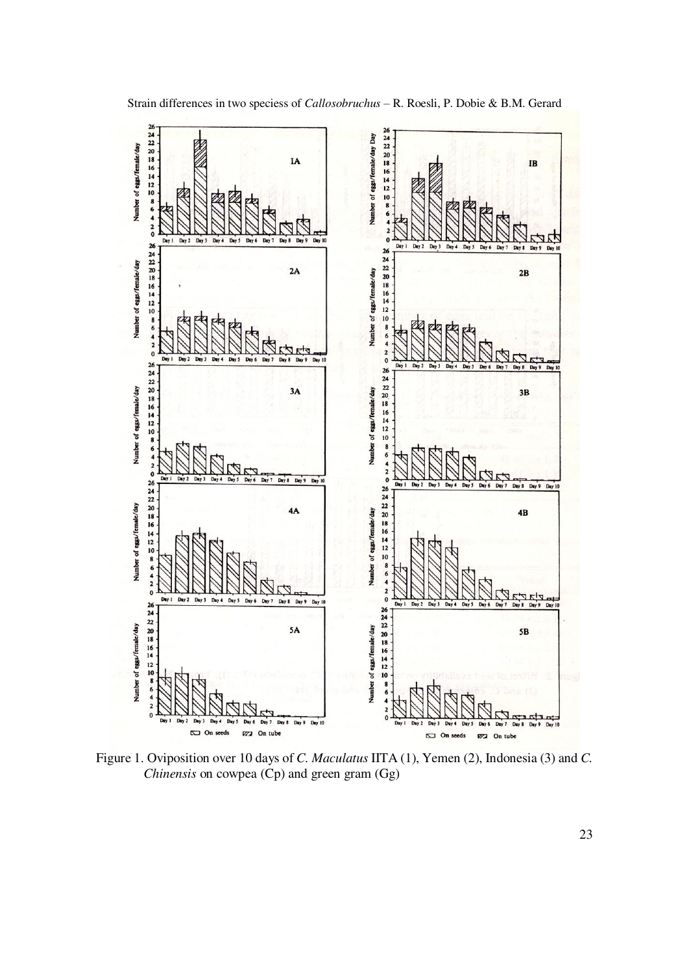

Strain differences in two speciess of *Callosobruchus* - R. Roesli, P. Dobie & B.M. Gerard

Figure 1. Oviposition over 10 days of *C. Maculatus* IITA (1), Yemen (2), Indonesia (3) and *C. Chinensis* on cowpea (Cp) and green gram (Gg)

23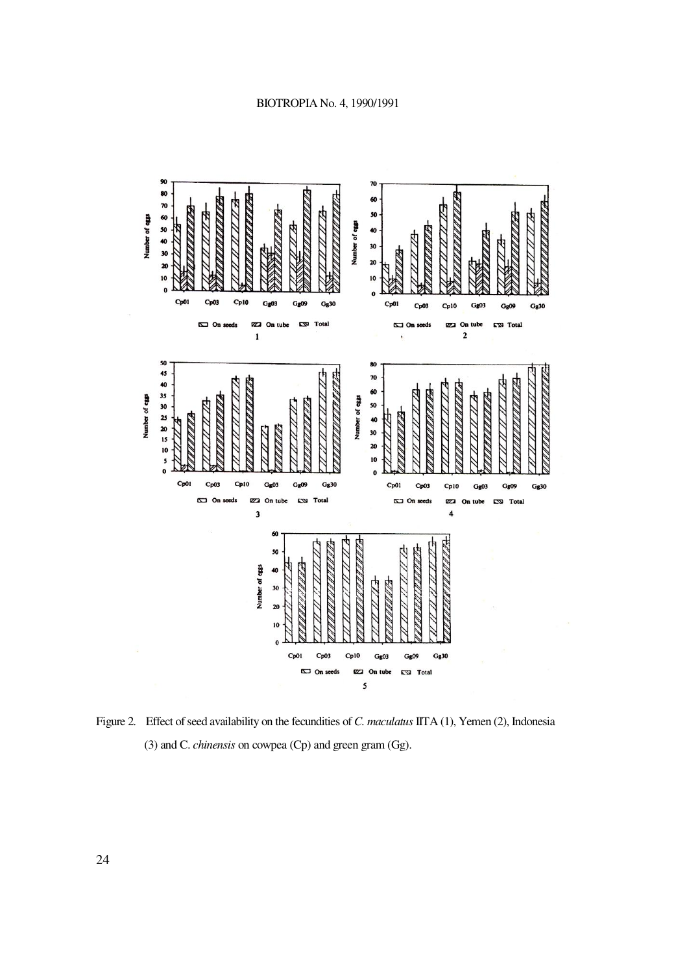

Figure 2. Effect of seed availability on the fecundities of *C. maculatus* IITA (1), Yemen (2), Indonesia (3) and C. *chinensis* on cowpea (Cp) and green gram (Gg).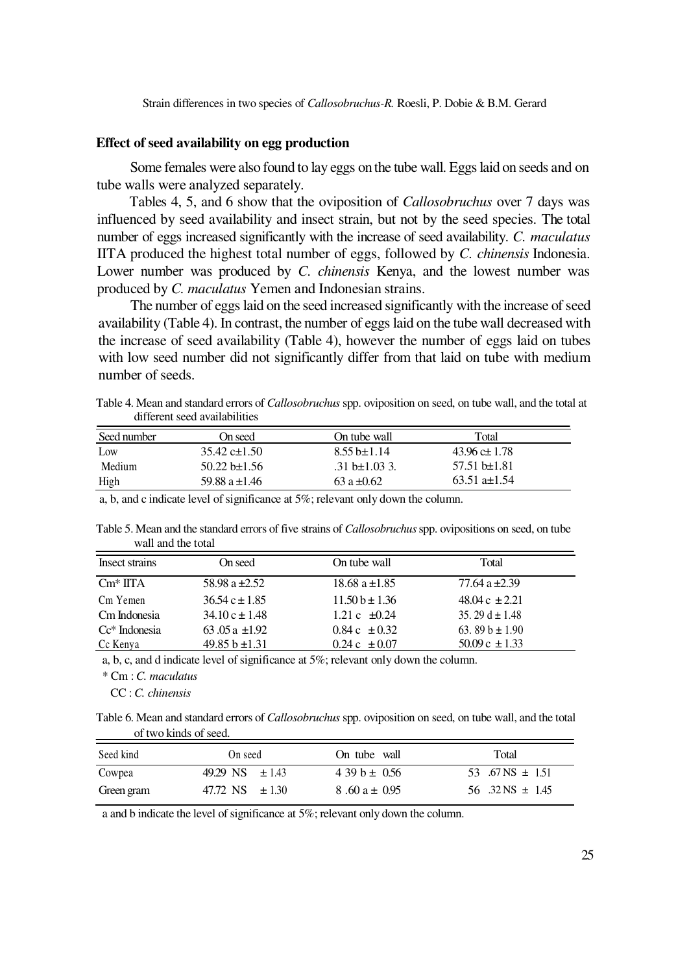## **Effect of seed availability on egg production**

Some females were also found to lay eggs on the tube wall. Eggs laid on seeds and on tube walls were analyzed separately.

Tables 4, 5, and 6 show that the oviposition of *Callosobruchus* over 7 days was influenced by seed availability and insect strain, but not by the seed species. The total number of eggs increased significantly with the increase of seed availability. *C. maculatus*  IITA produced the highest total number of eggs, followed by *C. chinensis* Indonesia. Lower number was produced by *C. chinensis* Kenya, and the lowest number was produced by *C. maculatus* Yemen and Indonesian strains.

The number of eggs laid on the seed increased significantly with the increase of seed availability (Table 4). In contrast, the number of eggs laid on the tube wall decreased with the increase of seed availability (Table 4), however the number of eggs laid on tubes with low seed number did not significantly differ from that laid on tube with medium number of seeds.

Table 4. Mean and standard errors of *Callosobruchus* spp. oviposition on seed, on tube wall, and the total at different seed availabilities

| Seed number | On seed            | On tube wall              | Total                      |  |
|-------------|--------------------|---------------------------|----------------------------|--|
| Low         | 35.42 c $\pm$ 1.50 | $8.55 \text{ h} \pm 1.14$ | $43.96 \pm 1.78$           |  |
| Medium      | $50.22$ b±1.56     | .31 b $\pm$ 1.03 3.       | $57.51 \text{ h} \pm 1.81$ |  |
| High        | 59.88 $a \pm 1.46$ | $63a \pm 0.62$            | $63.51$ a $\pm$ 1.54       |  |

a, b, and c indicate level of significance at 5%; relevant only down the column.

Table 5. Mean and the standard errors of five strains of *Callosobruchus* spp. ovipositions on seed, on tube wall and the total

| Insect strains       | On seed            | On tube wall               | Total                       |  |
|----------------------|--------------------|----------------------------|-----------------------------|--|
| $\mathrm{Cm}^*$ IITA | 58.98 a $\pm 2.52$ | 18.68 a $\pm$ 1.85         | 77.64 a $\pm 2.39$          |  |
| Cm Yemen             | $36.54 c \pm 1.85$ | $11.50b \pm 1.36$          | $48.04 \text{ c} \pm 2.21$  |  |
| Cm Indonesia         | $34.10 c \pm 1.48$ | 1.21 c $\pm 0.24$          | 35.29 d $\pm$ 1.48          |  |
| $Cc*$ Indonesia      | 63.05 a $\pm$ 1.92 | $0.84c \pm 0.32$           | 63.89 b $\pm$ 1.90          |  |
| Cc Kenya             | 49.85 b $\pm$ 1.31 | $0.24 \text{ c } \pm 0.07$ | $50.09 \text{ c } \pm 1.33$ |  |

a, b, c, and d indicate level of significance at 5%; relevant only down the column.

\* Cm : *C. maculatus* 

CC : *C. chinensis*

Table 6. Mean and standard errors of *Callosobruchus* spp. oviposition on seed, on tube wall, and the total of two kinds of seed.

| Seed kind  | On seed             | On tube wall     | Total                |
|------------|---------------------|------------------|----------------------|
| Cowpea     | 49.29 NS $\pm 1.43$ | $439 b \pm 0.56$ | 53 .67 NS $\pm$ 1.51 |
| Green gram | 47.72 NS $\pm 1.30$ | $8.60a \pm 0.95$ | 56 .32 NS $\pm$ 1.45 |

. a and b indicate the level of significance at 5%; relevant only down the column.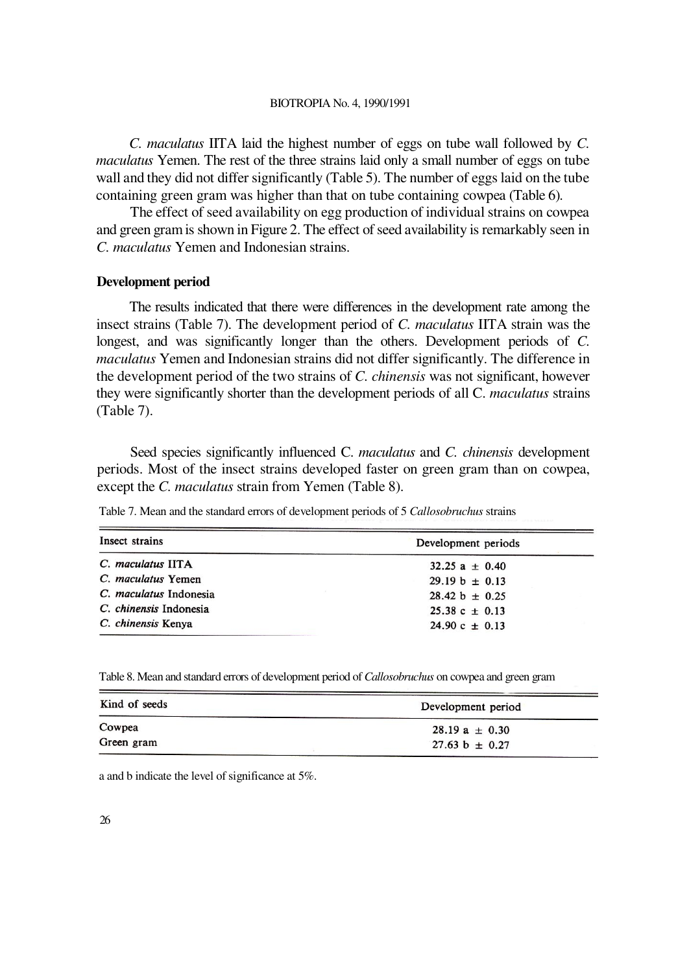*C. maculatus* IITA laid the highest number of eggs on tube wall followed by *C. maculatus* Yemen. The rest of the three strains laid only a small number of eggs on tube wall and they did not differ significantly (Table 5). The number of eggs laid on the tube containing green gram was higher than that on tube containing cowpea (Table 6).

The effect of seed availability on egg production of individual strains on cowpea and green gram is shown in Figure 2. The effect of seed availability is remarkably seen in *C. maculatus* Yemen and Indonesian strains.

#### **Development period**

The results indicated that there were differences in the development rate among the insect strains (Table 7). The development period of *C. maculatus* IITA strain was the longest, and was significantly longer than the others. Development periods of *C. maculatus* Yemen and Indonesian strains did not differ significantly. The difference in the development period of the two strains of *C. chinensis* was not significant, however they were significantly shorter than the development periods of all C. *maculatus* strains (Table 7).

Seed species significantly influenced C. *maculatus* and *C. chinensis* development periods. Most of the insect strains developed faster on green gram than on cowpea, except the *C. maculatus* strain from Yemen (Table 8).

Table 7. Mean and the standard errors of development periods of 5 *Callosobruchus* strains

| Insect strains         | Development periods         |
|------------------------|-----------------------------|
| C. maculatus IITA      | $32.25 a + 0.40$            |
| C. maculatus Yemen     | $29.19 b + 0.13$            |
| C. maculatus Indonesia | $28.42 b + 0.25$            |
| C. chinensis Indonesia | $25.38 \text{ c } \pm 0.13$ |
| C. chinensis Kenya     | $24.90 \text{ c } \pm 0.13$ |

Table 8. Mean and standard errors of development period of *Callosobruchus* on cowpea and green gram

| Kind of seeds | Development period |  |
|---------------|--------------------|--|
| Cowpea        | $28.19 a \pm 0.30$ |  |
| Green gram    | $27.63 b \pm 0.27$ |  |

a and b indicate the level of significance at 5%.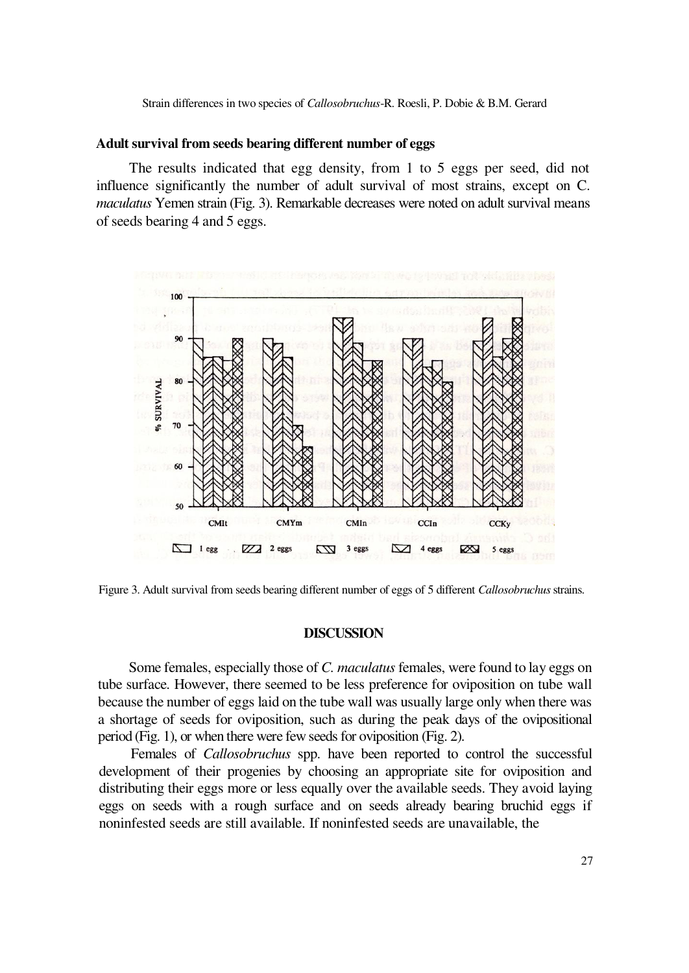Strain differences in two species of *Callosobruchus*-R. Roesli, P. Dobie & B.M. Gerard

## **Adult survival from seeds bearing different number of eggs**

The results indicated that egg density, from 1 to 5 eggs per seed, did not influence significantly the number of adult survival of most strains, except on C. *maculatus* Yemen strain (Fig. 3). Remarkable decreases were noted on adult survival means of seeds bearing 4 and 5 eggs.



Figure 3. Adult survival from seeds bearing different number of eggs of 5 different *Callosobruchus* strains.

# **DISCUSSION**

Some females, especially those of *C. maculatus* females, were found to lay eggs on tube surface. However, there seemed to be less preference for oviposition on tube wall because the number of eggs laid on the tube wall was usually large only when there was a shortage of seeds for oviposition, such as during the peak days of the ovipositional period (Fig. 1), or when there were few seeds for oviposition (Fig. 2).

Females of *Callosobruchus* spp. have been reported to control the successful development of their progenies by choosing an appropriate site for oviposition and distributing their eggs more or less equally over the available seeds. They avoid laying eggs on seeds with a rough surface and on seeds already bearing bruchid eggs if noninfested seeds are still available. If noninfested seeds are unavailable, the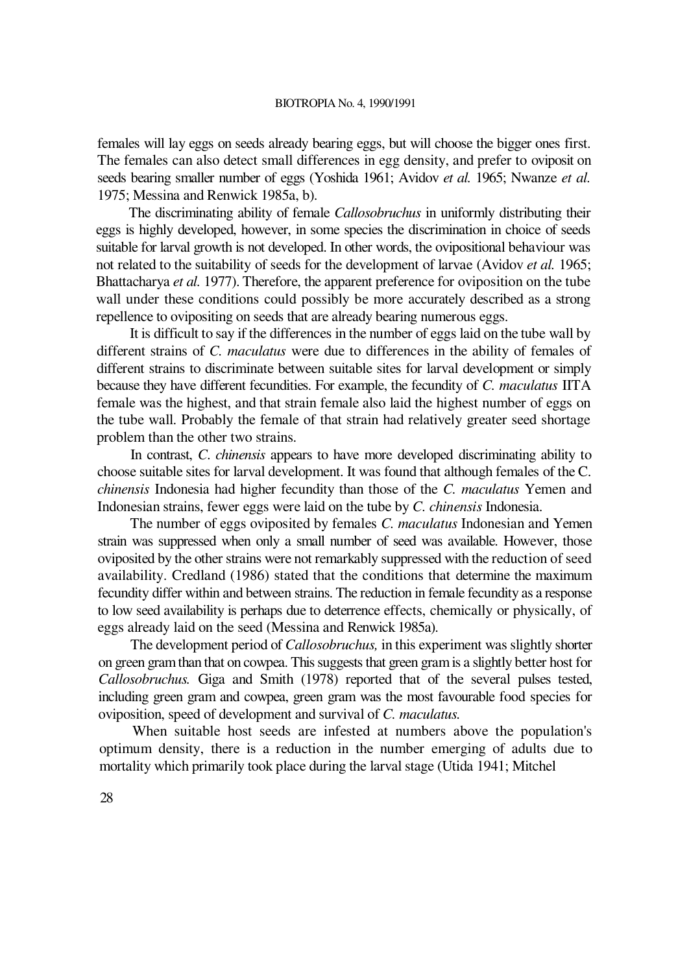females will lay eggs on seeds already bearing eggs, but will choose the bigger ones first. The females can also detect small differences in egg density, and prefer to oviposit on seeds bearing smaller number of eggs (Yoshida 1961; Avidov *et al.* 1965; Nwanze *et al.*  1975; Messina and Renwick 1985a, b).

The discriminating ability of female *Callosobruchus* in uniformly distributing their eggs is highly developed, however, in some species the discrimination in choice of seeds suitable for larval growth is not developed. In other words, the ovipositional behaviour was not related to the suitability of seeds for the development of larvae (Avidov *et al.* 1965; Bhattacharya *et al.* 1977). Therefore, the apparent preference for oviposition on the tube wall under these conditions could possibly be more accurately described as a strong repellence to ovipositing on seeds that are already bearing numerous eggs.

It is difficult to say if the differences in the number of eggs laid on the tube wall by different strains of *C. maculatus* were due to differences in the ability of females of different strains to discriminate between suitable sites for larval development or simply because they have different fecundities. For example, the fecundity of *C. maculatus* IITA female was the highest, and that strain female also laid the highest number of eggs on the tube wall. Probably the female of that strain had relatively greater seed shortage problem than the other two strains.

In contrast, *C*. *chinensis* appears to have more developed discriminating ability to choose suitable sites for larval development. It was found that although females of the C. *chinensis* Indonesia had higher fecundity than those of the *C. maculatus* Yemen and Indonesian strains, fewer eggs were laid on the tube by *C. chinensis* Indonesia.

The number of eggs oviposited by females *C. maculatus* Indonesian and Yemen strain was suppressed when only a small number of seed was available. However, those oviposited by the other strains were not remarkably suppressed with the reduction of seed availability. Credland (1986) stated that the conditions that determine the maximum fecundity differ within and between strains. The reduction in female fecundity as a response to low seed availability is perhaps due to deterrence effects, chemically or physically, of eggs already laid on the seed (Messina and Renwick 1985a).

The development period of *Callosobruchus,* in this experiment was slightly shorter on green gram than that on cowpea. This suggests that green gram is a slightly better host for *Callosobruchus.* Giga and Smith (1978) reported that of the several pulses tested, including green gram and cowpea, green gram was the most favourable food species for oviposition, speed of development and survival of *C. maculatus.*

When suitable host seeds are infested at numbers above the population's optimum density, there is a reduction in the number emerging of adults due to mortality which primarily took place during the larval stage (Utida 1941; Mitchel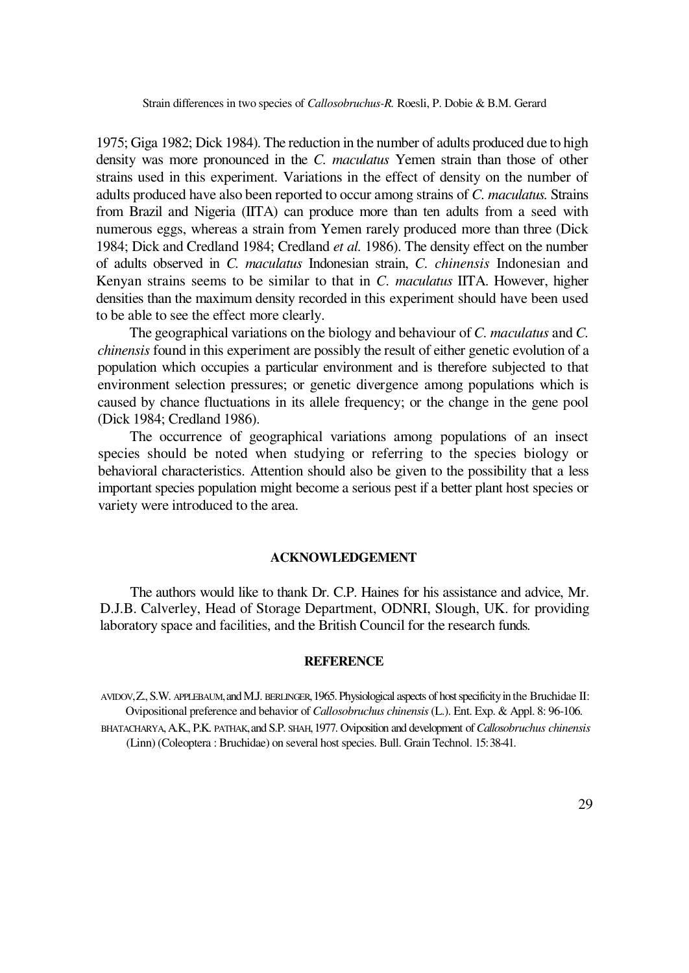1975; Giga 1982; Dick 1984). The reduction in the number of adults produced due to high density was more pronounced in the *C. maculatus* Yemen strain than those of other strains used in this experiment. Variations in the effect of density on the number of adults produced have also been reported to occur among strains of *C. maculatus.* Strains from Brazil and Nigeria (IITA) can produce more than ten adults from a seed with numerous eggs, whereas a strain from Yemen rarely produced more than three (Dick 1984; Dick and Credland 1984; Credland *et al.* 1986). The density effect on the number of adults observed in *C. maculatus* Indonesian strain, *C. chinensis* Indonesian and Kenyan strains seems to be similar to that in *C. maculatus* IITA. However, higher densities than the maximum density recorded in this experiment should have been used to be able to see the effect more clearly.

The geographical variations on the biology and behaviour of *C. maculatus* and *C. chinensis* found in this experiment are possibly the result of either genetic evolution of a population which occupies a particular environment and is therefore subjected to that environment selection pressures; or genetic divergence among populations which is caused by chance fluctuations in its allele frequency; or the change in the gene pool (Dick 1984; Credland 1986).

The occurrence of geographical variations among populations of an insect species should be noted when studying or referring to the species biology or behavioral characteristics. Attention should also be given to the possibility that a less important species population might become a serious pest if a better plant host species or variety were introduced to the area.

### **ACKNOWLEDGEMENT**

The authors would like to thank Dr. C.P. Haines for his assistance and advice, Mr. D.J.B. Calverley, Head of Storage Department, ODNRI, Slough, UK. for providing laboratory space and facilities, and the British Council for the research funds.

### **REFERENCE**

AVIDOV,Z., S.W. APPLEBAUM,and M.J. BERLINGER,1965. Physiological aspects of host specificity in the Bruchidae II: Ovipositional preference and behavior of *Callosobruchus chinensis* (L.). Ent. Exp. & Appl. 8: 96-106.

BHATACHARYA,A.K., P.K. PATHAK,and S.P. SHAH,1977. Oviposition and development of *Callosobruchus chinensis*  (Linn) (Coleoptera : Bruchidae) on several host species. Bull. Grain Technol. 15: 38-41.